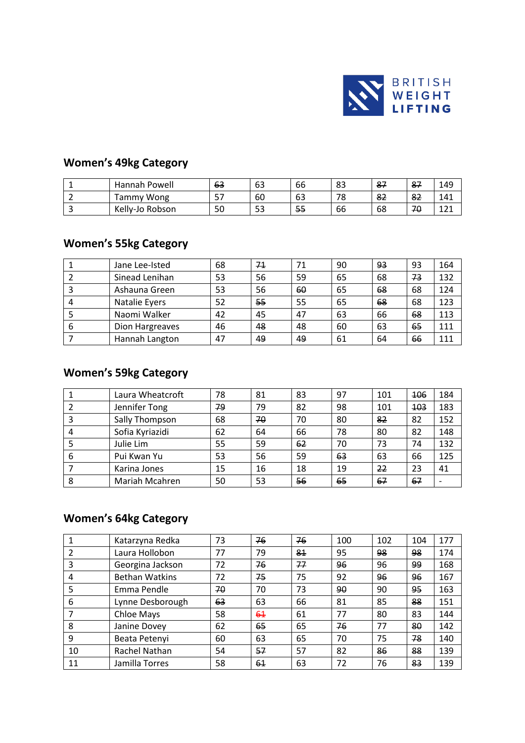

### **Women's 49kg Category**

| Hannah Powell      | 63       | 63 | 66 | 83           | $\circ$<br>ō1 | 87 | 149 |
|--------------------|----------|----|----|--------------|---------------|----|-----|
| Wong<br>ammy       | $-$<br>ັ | 60 | 63 | 78           | 82            | 82 | 41  |
| Kelly-Jo<br>Robson | 50       | 53 | 55 | $\sim$<br>bb | 68            | 70 | --- |

### **Women's 55kg Category**

|   | Jane Lee-Isted  | 68 | 71 | 71 | 90 | 93 | 93 | 164 |
|---|-----------------|----|----|----|----|----|----|-----|
|   | Sinead Lenihan  | 53 | 56 | 59 | 65 | 68 | 73 | 132 |
|   | Ashauna Green   | 53 | 56 | 60 | 65 | 68 | 68 | 124 |
| 4 | Natalie Eyers   | 52 | 55 | 55 | 65 | 68 | 68 | 123 |
|   | Naomi Walker    | 42 | 45 | 47 | 63 | 66 | 68 | 113 |
| 6 | Dion Hargreaves | 46 | 48 | 48 | 60 | 63 | 65 | 111 |
|   | Hannah Langton  | 47 | 49 | 49 | 61 | 64 | 66 | 111 |

#### **Women's 59kg Category**

|   | Laura Wheatcroft | 78 | 81 | 83 | 97 | 101 | 106        | 184 |
|---|------------------|----|----|----|----|-----|------------|-----|
|   | Jennifer Tong    | 79 | 79 | 82 | 98 | 101 | <b>103</b> | 183 |
| 3 | Sally Thompson   | 68 | 70 | 70 | 80 | 82  | 82         | 152 |
| 4 | Sofia Kyriazidi  | 62 | 64 | 66 | 78 | 80  | 82         | 148 |
|   | Julie Lim        | 55 | 59 | 62 | 70 | 73  | 74         | 132 |
| 6 | Pui Kwan Yu      | 53 | 56 | 59 | 63 | 63  | 66         | 125 |
|   | Karina Jones     | 15 | 16 | 18 | 19 | 22  | 23         | 41  |
| 8 | Mariah Mcahren   | 50 | 53 | 56 | 65 | 67  | 67         |     |

### **Women's 64kg Category**

| 1              | Katarzyna Redka       | 73 | 76 | 76 | 100 | 102 | 104 | 177 |
|----------------|-----------------------|----|----|----|-----|-----|-----|-----|
| $\overline{2}$ | Laura Hollobon        | 77 | 79 | 81 | 95  | 98  | 98  | 174 |
| 3              | Georgina Jackson      | 72 | 76 | 77 | 96  | 96  | 99  | 168 |
| 4              | <b>Bethan Watkins</b> | 72 | 75 | 75 | 92  | 96  | 96  | 167 |
| 5              | Emma Pendle           | 70 | 70 | 73 | 90  | 90  | 95  | 163 |
| 6              | Lynne Desborough      | 63 | 63 | 66 | 81  | 85  | 88  | 151 |
| 7              | Chloe Mays            | 58 | 61 | 61 | 77  | 80  | 83  | 144 |
| 8              | Janine Dovey          | 62 | 65 | 65 | 76  | 77  | 80  | 142 |
| 9              | Beata Petenyi         | 60 | 63 | 65 | 70  | 75  | 78  | 140 |
| 10             | Rachel Nathan         | 54 | 57 | 57 | 82  | 86  | 88  | 139 |
| 11             | Jamilla Torres        | 58 | 61 | 63 | 72  | 76  | 83  | 139 |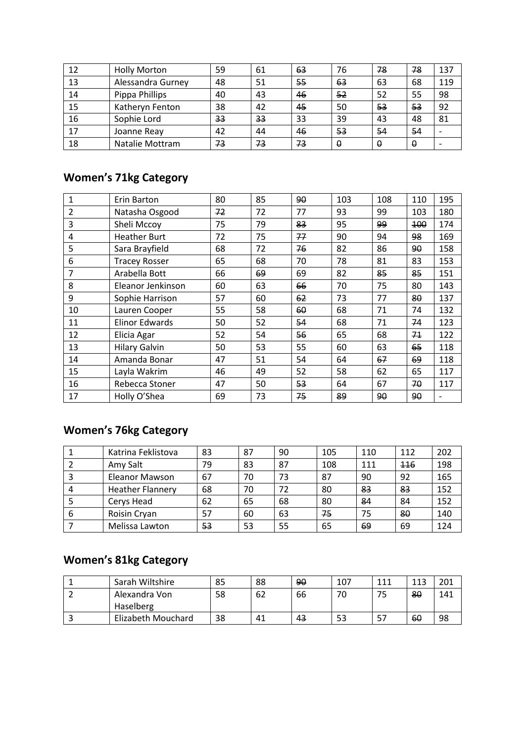| 12 | <b>Holly Morton</b> | 59 | 61 | 63 | 76 | 78 | 78 | 137 |
|----|---------------------|----|----|----|----|----|----|-----|
| 13 | Alessandra Gurney   | 48 | 51 | 55 | 63 | 63 | 68 | 119 |
| 14 | Pippa Phillips      | 40 | 43 | 46 | 52 | 52 | 55 | 98  |
| 15 | Katheryn Fenton     | 38 | 42 | 45 | 50 | 53 | 53 | 92  |
| 16 | Sophie Lord         | 33 | 33 | 33 | 39 | 43 | 48 | 81  |
| 17 | Joanne Reay         | 42 | 44 | 46 | 53 | 54 | 54 |     |
| 18 | Natalie Mottram     | 73 | 73 | 73 | 0  | 0  | 0  |     |

### **Women's 71kg Category**

| $\mathbf{1}$   | Erin Barton           | 80 | 85 | 90 | 103 | 108 | 110 | 195 |
|----------------|-----------------------|----|----|----|-----|-----|-----|-----|
| 2              | Natasha Osgood        | 72 | 72 | 77 | 93  | 99  | 103 | 180 |
| 3              | Sheli Mccoy           | 75 | 79 | 83 | 95  | 99  | 100 | 174 |
| 4              | <b>Heather Burt</b>   | 72 | 75 | 77 | 90  | 94  | 98  | 169 |
| 5              | Sara Brayfield        | 68 | 72 | 76 | 82  | 86  | 90  | 158 |
| 6              | <b>Tracey Rosser</b>  | 65 | 68 | 70 | 78  | 81  | 83  | 153 |
| $\overline{7}$ | Arabella Bott         | 66 | 69 | 69 | 82  | 85  | 85  | 151 |
| 8              | Eleanor Jenkinson     | 60 | 63 | 66 | 70  | 75  | 80  | 143 |
| 9              | Sophie Harrison       | 57 | 60 | 62 | 73  | 77  | 80  | 137 |
| 10             | Lauren Cooper         | 55 | 58 | 60 | 68  | 71  | 74  | 132 |
| 11             | <b>Elinor Edwards</b> | 50 | 52 | 54 | 68  | 71  | 74  | 123 |
| 12             | Elicia Agar           | 52 | 54 | 56 | 65  | 68  | 71  | 122 |
| 13             | <b>Hilary Galvin</b>  | 50 | 53 | 55 | 60  | 63  | 65  | 118 |
| 14             | Amanda Bonar          | 47 | 51 | 54 | 64  | 67  | 69  | 118 |
| 15             | Layla Wakrim          | 46 | 49 | 52 | 58  | 62  | 65  | 117 |
| 16             | Rebecca Stoner        | 47 | 50 | 53 | 64  | 67  | 70  | 117 |
| 17             | Holly O'Shea          | 69 | 73 | 75 | 89  | 90  | 90  |     |

# **Women's 76kg Category**

|   | Katrina Feklistova      | 83 | 87 | 90 | 105 | 110 | 112 | 202 |
|---|-------------------------|----|----|----|-----|-----|-----|-----|
|   | Amy Salt                | 79 | 83 | 87 | 108 | 111 | 116 | 198 |
| 3 | Eleanor Mawson          | 67 | 70 | 73 | 87  | 90  | 92  | 165 |
| 4 | <b>Heather Flannery</b> | 68 | 70 | 72 | 80  | 83  | 83  | 152 |
| 5 | Cerys Head              | 62 | 65 | 68 | 80  | -84 | 84  | 152 |
| 6 | Roisin Cryan            | 57 | 60 | 63 | 75  | 75  | 80  | 140 |
|   | Melissa Lawton          | 53 | 53 | 55 | 65  | 69  | 69  | 124 |

# **Women's 81kg Category**

| Sarah Wiltshire    | 85 | 88 | 90 | 107 | 111 | 113 | 201 |
|--------------------|----|----|----|-----|-----|-----|-----|
| Alexandra Von      | 58 | 62 | 66 | 70  | 75  | 80  | 141 |
| Haselberg          |    |    |    |     |     |     |     |
| Elizabeth Mouchard | 38 | 41 | 43 | 53  | -57 | 60  | 98  |